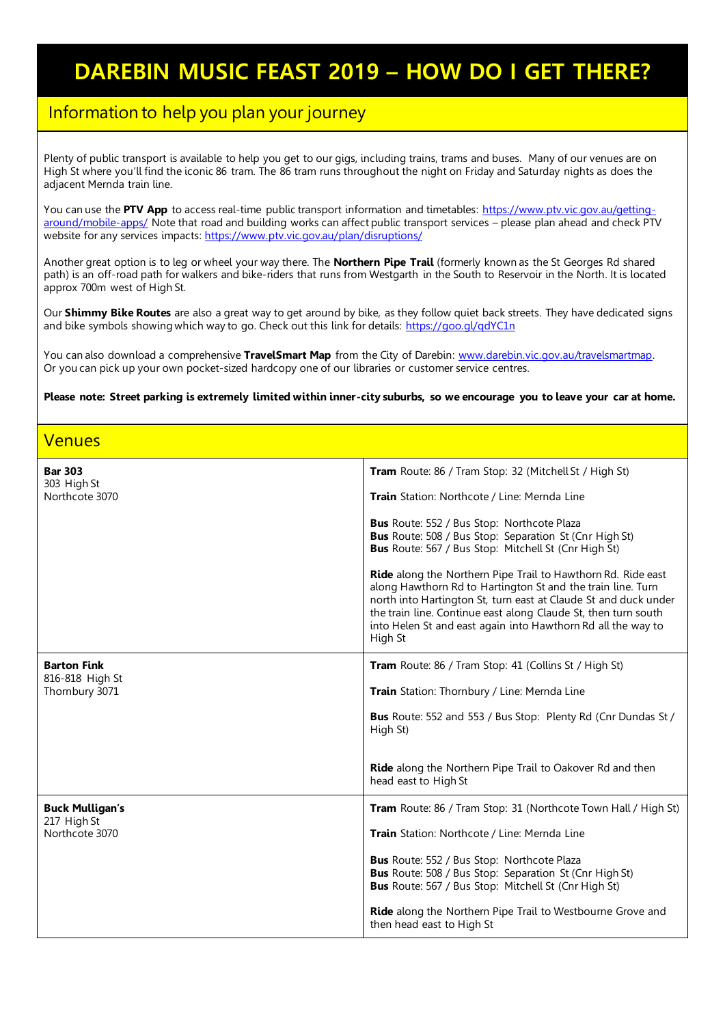## **DAREBIN MUSIC FEAST 2019 – HOW DO I GET THERE?**

## Information to help you plan your journey

Plenty of public transport is available to help you get to our gigs, including trains, trams and buses. Many of our venues are on High St where you'll find the iconic 86 tram. The 86 tram runs throughout the night on Friday and Saturday nights as does the adjacent Mernda train line.

You can use the **PTV App** to access real-time public transport information and timetables: [https://www.ptv.vic.gov.au/getting](https://www.ptv.vic.gov.au/getting-around/mobile-apps/)[around/mobile-apps/](https://www.ptv.vic.gov.au/getting-around/mobile-apps/) Note that road and building works can affect public transport services – please plan ahead and check PTV website for any services impacts: <https://www.ptv.vic.gov.au/plan/disruptions/>

Another great option is to leg or wheel your way there. The **Northern Pipe Trail** (formerly known as the St Georges Rd shared path) is an off-road path for walkers and bike-riders that runs from Westgarth in the South to Reservoir in the North. It is located approx 700m west of High St.

Our **Shimmy Bike Routes** are also a great way to get around by bike, as they follow quiet back streets. They have dedicated signs and bike symbols showing which way to go. Check out this link for details[: https://goo.gl/qdYC1n](https://goo.gl/qdYC1n)

You can also download a comprehensive **TravelSmart Map** from the City of Darebin: [www.darebin.vic.gov.au/travelsmartmap.](http://www.darebin.vic.gov.au/travelsmartmap) Or you can pick up your own pocket-sized hardcopy one of our libraries or customer service centres.

**Please note: Street parking is extremely limited within inner-city suburbs, so we encourage you to leave your car at home.** 

Venues

| <b>Bar 303</b><br>303 High St<br>Northcote 3070         | Tram Route: 86 / Tram Stop: 32 (Mitchell St / High St)<br>Train Station: Northcote / Line: Mernda Line<br><b>Bus</b> Route: 552 / Bus Stop: Northcote Plaza<br><b>Bus</b> Route: 508 / Bus Stop: Separation St (Cnr High St)<br>Bus Route: 567 / Bus Stop: Mitchell St (Cnr High St)<br>Ride along the Northern Pipe Trail to Hawthorn Rd. Ride east<br>along Hawthorn Rd to Hartington St and the train line. Turn<br>north into Hartington St, turn east at Claude St and duck under<br>the train line. Continue east along Claude St, then turn south<br>into Helen St and east again into Hawthorn Rd all the way to |
|---------------------------------------------------------|--------------------------------------------------------------------------------------------------------------------------------------------------------------------------------------------------------------------------------------------------------------------------------------------------------------------------------------------------------------------------------------------------------------------------------------------------------------------------------------------------------------------------------------------------------------------------------------------------------------------------|
| <b>Barton Fink</b><br>816-818 High St<br>Thornbury 3071 | High St<br><b>Tram</b> Route: 86 / Tram Stop: 41 (Collins St / High St)<br>Train Station: Thornbury / Line: Mernda Line<br>Bus Route: 552 and 553 / Bus Stop: Plenty Rd (Cnr Dundas St /<br>High St)<br>Ride along the Northern Pipe Trail to Oakover Rd and then<br>head east to High St                                                                                                                                                                                                                                                                                                                                |
| <b>Buck Mulligan's</b><br>217 High St<br>Northcote 3070 | <b>Tram</b> Route: 86 / Tram Stop: 31 (Northcote Town Hall / High St)<br>Train Station: Northcote / Line: Mernda Line<br><b>Bus</b> Route: 552 / Bus Stop: Northcote Plaza<br><b>Bus</b> Route: 508 / Bus Stop: Separation St (Cnr High St)<br><b>Bus</b> Route: 567 / Bus Stop: Mitchell St (Cnr High St)<br>Ride along the Northern Pipe Trail to Westbourne Grove and<br>then head east to High St                                                                                                                                                                                                                    |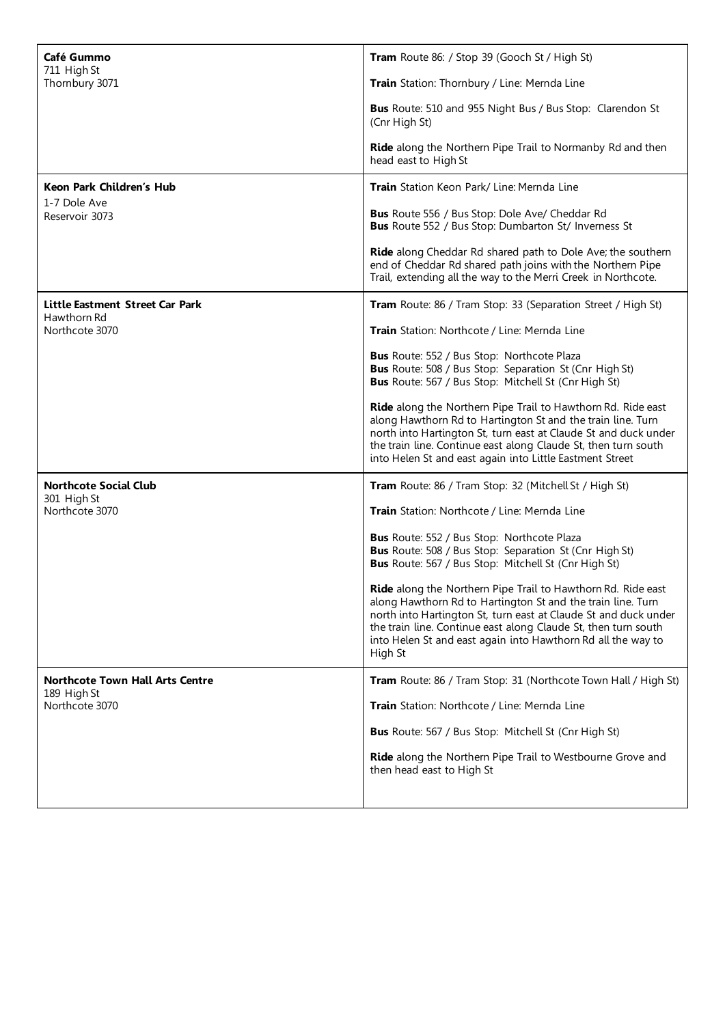| Café Gummo                                            | Tram Route 86: / Stop 39 (Gooch St / High St)                                                                                                                                                                                                                                                                                               |
|-------------------------------------------------------|---------------------------------------------------------------------------------------------------------------------------------------------------------------------------------------------------------------------------------------------------------------------------------------------------------------------------------------------|
| 711 High St<br>Thornbury 3071                         | Train Station: Thornbury / Line: Mernda Line                                                                                                                                                                                                                                                                                                |
|                                                       | <b>Bus</b> Route: 510 and 955 Night Bus / Bus Stop: Clarendon St<br>(Cnr High St)                                                                                                                                                                                                                                                           |
|                                                       | <b>Ride</b> along the Northern Pipe Trail to Normanby Rd and then<br>head east to High St                                                                                                                                                                                                                                                   |
| Keon Park Children's Hub                              | Train Station Keon Park/ Line: Mernda Line                                                                                                                                                                                                                                                                                                  |
| 1-7 Dole Ave<br>Reservoir 3073                        | <b>Bus</b> Route 556 / Bus Stop: Dole Ave/ Cheddar Rd<br><b>Bus</b> Route 552 / Bus Stop: Dumbarton St/ Inverness St                                                                                                                                                                                                                        |
|                                                       | Ride along Cheddar Rd shared path to Dole Ave; the southern<br>end of Cheddar Rd shared path joins with the Northern Pipe<br>Trail, extending all the way to the Merri Creek in Northcote.                                                                                                                                                  |
| Little Eastment Street Car Park                       | Tram Route: 86 / Tram Stop: 33 (Separation Street / High St)                                                                                                                                                                                                                                                                                |
| Hawthorn Rd<br>Northcote 3070                         | Train Station: Northcote / Line: Mernda Line                                                                                                                                                                                                                                                                                                |
|                                                       | <b>Bus</b> Route: 552 / Bus Stop: Northcote Plaza<br><b>Bus</b> Route: 508 / Bus Stop: Separation St (Cnr High St)<br>Bus Route: 567 / Bus Stop: Mitchell St (Cnr High St)                                                                                                                                                                  |
|                                                       | Ride along the Northern Pipe Trail to Hawthorn Rd. Ride east<br>along Hawthorn Rd to Hartington St and the train line. Turn<br>north into Hartington St, turn east at Claude St and duck under<br>the train line. Continue east along Claude St, then turn south<br>into Helen St and east again into Little Eastment Street                |
| <b>Northcote Social Club</b><br>301 High St           | Tram Route: 86 / Tram Stop: 32 (Mitchell St / High St)                                                                                                                                                                                                                                                                                      |
| Northcote 3070                                        | Train Station: Northcote / Line: Mernda Line                                                                                                                                                                                                                                                                                                |
|                                                       | Bus Route: 552 / Bus Stop: Northcote Plaza<br><b>Bus</b> Route: 508 / Bus Stop: Separation St (Cnr High St)<br>Bus Route: 567 / Bus Stop: Mitchell St (Cnr High St)                                                                                                                                                                         |
|                                                       | Ride along the Northern Pipe Trail to Hawthorn Rd. Ride east<br>along Hawthorn Rd to Hartington St and the train line. Turn<br>north into Hartington St, turn east at Claude St and duck under<br>the train line. Continue east along Claude St, then turn south<br>into Helen St and east again into Hawthorn Rd all the way to<br>High St |
| <b>Northcote Town Hall Arts Centre</b><br>189 High St | Tram Route: 86 / Tram Stop: 31 (Northcote Town Hall / High St)                                                                                                                                                                                                                                                                              |
| Northcote 3070                                        | Train Station: Northcote / Line: Mernda Line                                                                                                                                                                                                                                                                                                |
|                                                       | <b>Bus</b> Route: 567 / Bus Stop: Mitchell St (Cnr High St)                                                                                                                                                                                                                                                                                 |
|                                                       | Ride along the Northern Pipe Trail to Westbourne Grove and<br>then head east to High St                                                                                                                                                                                                                                                     |
|                                                       |                                                                                                                                                                                                                                                                                                                                             |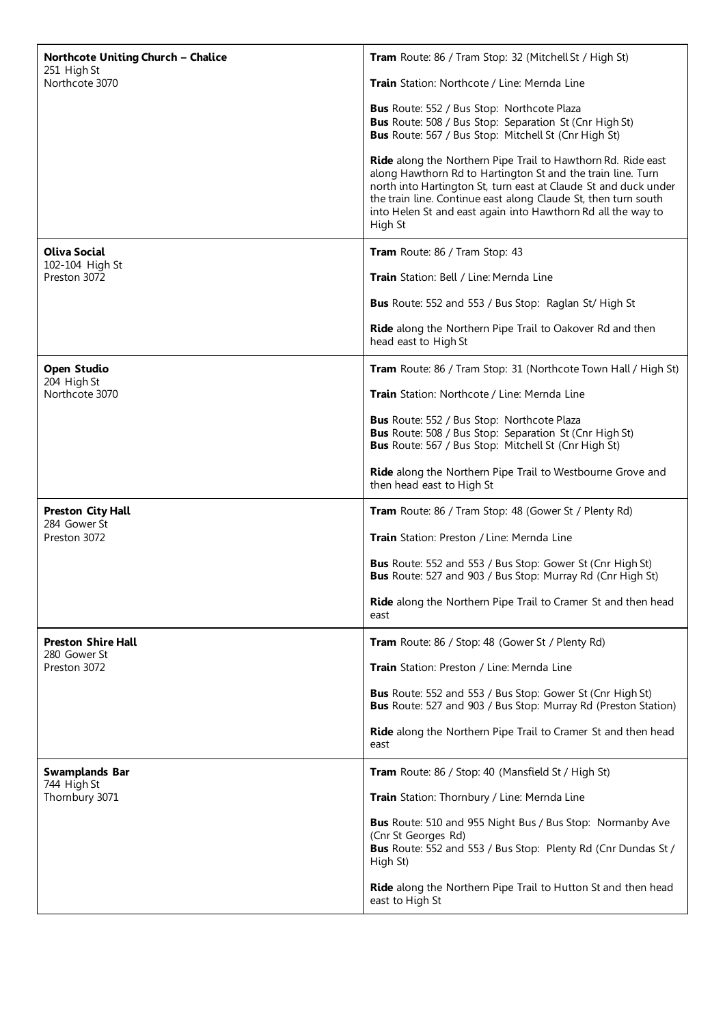| <b>Northcote Uniting Church - Chalice</b><br>251 High St<br>Northcote 3070 | Tram Route: 86 / Tram Stop: 32 (Mitchell St / High St)                                                                                                                                                                                                                                                                                      |
|----------------------------------------------------------------------------|---------------------------------------------------------------------------------------------------------------------------------------------------------------------------------------------------------------------------------------------------------------------------------------------------------------------------------------------|
|                                                                            | Train Station: Northcote / Line: Mernda Line                                                                                                                                                                                                                                                                                                |
|                                                                            | Bus Route: 552 / Bus Stop: Northcote Plaza<br><b>Bus</b> Route: 508 / Bus Stop: Separation St (Cnr High St)<br>Bus Route: 567 / Bus Stop: Mitchell St (Cnr High St)                                                                                                                                                                         |
|                                                                            | Ride along the Northern Pipe Trail to Hawthorn Rd. Ride east<br>along Hawthorn Rd to Hartington St and the train line. Turn<br>north into Hartington St, turn east at Claude St and duck under<br>the train line. Continue east along Claude St, then turn south<br>into Helen St and east again into Hawthorn Rd all the way to<br>High St |
| <b>Oliva Social</b>                                                        | Tram Route: 86 / Tram Stop: 43                                                                                                                                                                                                                                                                                                              |
| 102-104 High St<br>Preston 3072                                            | Train Station: Bell / Line: Mernda Line                                                                                                                                                                                                                                                                                                     |
|                                                                            | <b>Bus</b> Route: 552 and 553 / Bus Stop: Raglan St/ High St                                                                                                                                                                                                                                                                                |
|                                                                            | Ride along the Northern Pipe Trail to Oakover Rd and then<br>head east to High St                                                                                                                                                                                                                                                           |
| <b>Open Studio</b><br>204 High St<br>Northcote 3070                        | Tram Route: 86 / Tram Stop: 31 (Northcote Town Hall / High St)                                                                                                                                                                                                                                                                              |
|                                                                            | Train Station: Northcote / Line: Mernda Line                                                                                                                                                                                                                                                                                                |
|                                                                            | Bus Route: 552 / Bus Stop: Northcote Plaza<br>Bus Route: 508 / Bus Stop: Separation St (Cnr High St)<br>Bus Route: 567 / Bus Stop: Mitchell St (Cnr High St)                                                                                                                                                                                |
|                                                                            | Ride along the Northern Pipe Trail to Westbourne Grove and<br>then head east to High St                                                                                                                                                                                                                                                     |
| <b>Preston City Hall</b><br>284 Gower St<br>Preston 3072                   | Tram Route: 86 / Tram Stop: 48 (Gower St / Plenty Rd)                                                                                                                                                                                                                                                                                       |
|                                                                            | Train Station: Preston / Line: Mernda Line                                                                                                                                                                                                                                                                                                  |
|                                                                            | <b>Bus</b> Route: 552 and 553 / Bus Stop: Gower St (Cnr High St)<br><b>Bus</b> Route: 527 and 903 / Bus Stop: Murray Rd (Cnr High St)                                                                                                                                                                                                       |
|                                                                            | Ride along the Northern Pipe Trail to Cramer St and then head<br>east                                                                                                                                                                                                                                                                       |
| <b>Preston Shire Hall</b><br>280 Gower St                                  | Tram Route: 86 / Stop: 48 (Gower St / Plenty Rd)                                                                                                                                                                                                                                                                                            |
| Preston 3072                                                               | <b>Train</b> Station: Preston / Line: Mernda Line                                                                                                                                                                                                                                                                                           |
|                                                                            | <b>Bus</b> Route: 552 and 553 / Bus Stop: Gower St (Cnr High St)<br>Bus Route: 527 and 903 / Bus Stop: Murray Rd (Preston Station)                                                                                                                                                                                                          |
|                                                                            | Ride along the Northern Pipe Trail to Cramer St and then head<br>east                                                                                                                                                                                                                                                                       |
| <b>Swamplands Bar</b><br>744 High St<br>Thornbury 3071                     | <b>Tram</b> Route: 86 / Stop: 40 (Mansfield St / High St)                                                                                                                                                                                                                                                                                   |
|                                                                            | Train Station: Thornbury / Line: Mernda Line                                                                                                                                                                                                                                                                                                |
|                                                                            | Bus Route: 510 and 955 Night Bus / Bus Stop: Normanby Ave<br>(Cnr St Georges Rd)<br>Bus Route: 552 and 553 / Bus Stop: Plenty Rd (Cnr Dundas St /<br>High St)                                                                                                                                                                               |
|                                                                            | Ride along the Northern Pipe Trail to Hutton St and then head<br>east to High St                                                                                                                                                                                                                                                            |